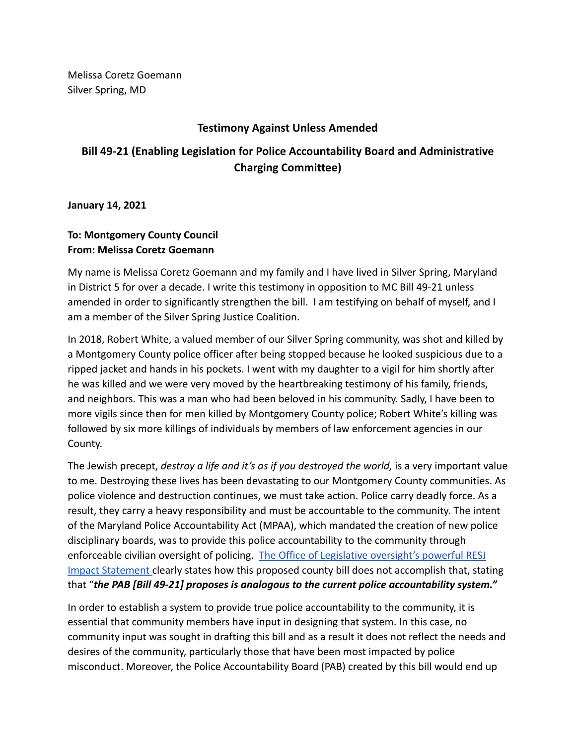Melissa Coretz Goemann Silver Spring, MD

## **Testimony Against Unless Amended**

## **Bill 49-21 (Enabling Legislation for Police Accountability Board and Administrative Charging Committee)**

**January 14, 2021**

## **To: Montgomery County Council From: Melissa Coretz Goemann**

My name is Melissa Coretz Goemann and my family and I have lived in Silver Spring, Maryland in District 5 for over a decade. I write this testimony in opposition to MC Bill 49-21 unless amended in order to significantly strengthen the bill. I am testifying on behalf of myself, and I am a member of the Silver Spring Justice Coalition.

In 2018, Robert White, a valued member of our Silver Spring community, was shot and killed by a Montgomery County police officer after being stopped because he looked suspicious due to a ripped jacket and hands in his pockets. I went with my daughter to a vigil for him shortly after he was killed and we were very moved by the heartbreaking testimony of his family, friends, and neighbors. This was a man who had been beloved in his community. Sadly, I have been to more vigils since then for men killed by Montgomery County police; Robert White's killing was followed by six more killings of individuals by members of law enforcement agencies in our County.

The Jewish precept, *destroy a life and it's as if you destroyed the world,* is a very important value to me. Destroying these lives has been devastating to our Montgomery County communities. As police violence and destruction continues, we must take action. Police carry deadly force. As a result, they carry a heavy responsibility and must be accountable to the community. The intent of the Maryland Police Accountability Act (MPAA), which mandated the creation of new police disciplinary boards, was to provide this police accountability to the community through enforceable civilian oversight of policing. The Office [of Legislative oversight's powerful RESJ](https://www.montgomerycountymd.gov/OLO/Resources/Files/resjis/2022/Bill49-21.pdf) [Impact Statement](https://www.montgomerycountymd.gov/OLO/Resources/Files/resjis/2022/Bill49-21.pdf) clearly states how this proposed county bill does not accomplish that, stating that "*the PAB [Bill 49-21] proposes is analogous to the current police accountability system."*

In order to establish a system to provide true police accountability to the community, it is essential that community members have input in designing that system. In this case, no community input was sought in drafting this bill and as a result it does not reflect the needs and desires of the community, particularly those that have been most impacted by police misconduct. Moreover, the Police Accountability Board (PAB) created by this bill would end up